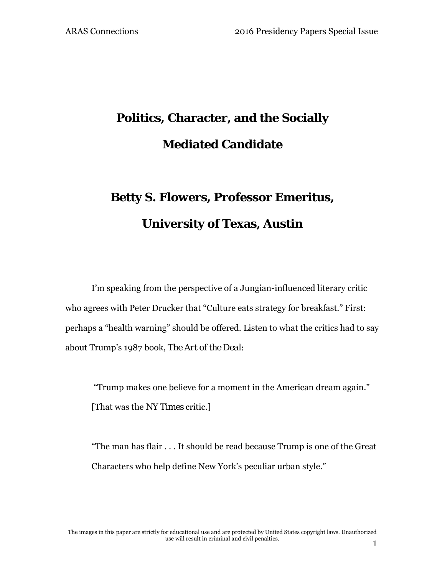# **Politics, Character, and the Socially Mediated Candidate**

# **Betty S. Flowers, Professor Emeritus, University of Texas, Austin**

I'm speaking from the perspective of a Jungian-influenced literary critic who agrees with Peter Drucker that "Culture eats strategy for breakfast." First: perhaps a "health warning" should be offered. Listen to what the critics had to say about Trump's 1987 book, *The Art of the Deal:*

 "Trump makes one believe for a moment in the American dream again." [That was the *NY Times* critic.]

"The man has flair . . . It should be read because Trump is one of the Great Characters who help define New York's peculiar urban style."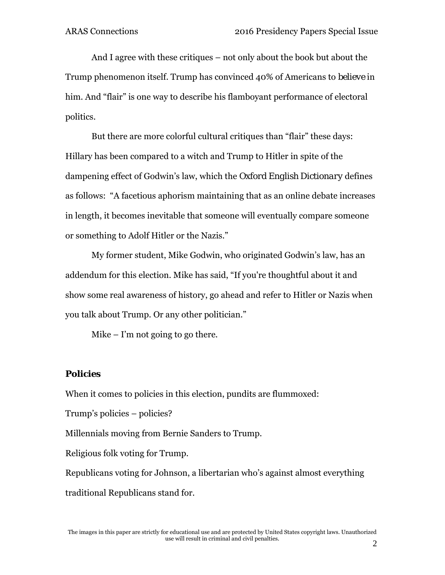And I agree with these critiques – not only about the book but about the Trump phenomenon itself. Trump has convinced 40% of Americans to *believe* in him. And "flair" is one way to describe his flamboyant performance of electoral politics.

But there are more colorful cultural critiques than "flair" these days: Hillary has been compared to a witch and Trump to Hitler in spite of the dampening effect of Godwin's law, which the *Oxford English Dictionary* defines as follows: "A facetious aphorism maintaining that as an online debate increases in length, it becomes inevitable that someone will eventually compare someone or something to Adolf Hitler or the Nazis."

My former student, Mike Godwin, who originated Godwin's law, has an addendum for this election. Mike has said, "If you're thoughtful about it and show some real awareness of history, go ahead and refer to Hitler or Nazis when you talk about Trump. Or any other politician."

Mike  $-$  I'm not going to go there.

### *Policies*

When it comes to policies in this election, pundits are flummoxed:

Trump's policies – policies?

Millennials moving from Bernie Sanders to Trump.

Religious folk voting for Trump.

Republicans voting for Johnson, a libertarian who's against almost everything

traditional Republicans stand for.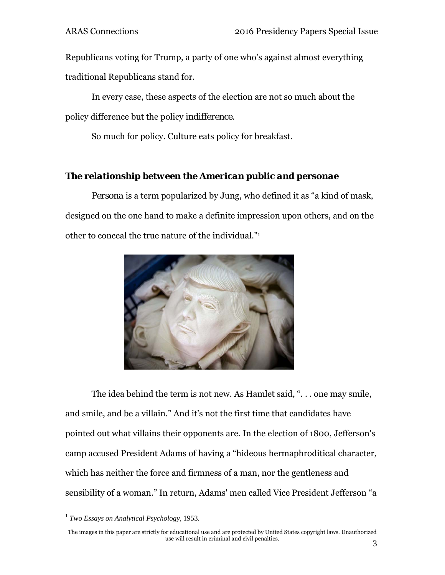Republicans voting for Trump, a party of one who's against almost everything traditional Republicans stand for.

In every case, these aspects of the election are not so much about the policy difference but the policy *indifference.* 

So much for policy. Culture eats policy for breakfast.

## *The relationship between the American public and personae*

*Persona* is a term popularized by Jung, who defined it as "a kind of mask, designed on the one hand to make a definite impression upon others, and on the other to conceal the true nature of the individual."1



The idea behind the term is not new. As Hamlet said, ". . . one may smile, and smile, and be a villain." And it's not the first time that candidates have pointed out what villains their opponents are. In the election of 1800, Jefferson's camp accused President Adams of having a "hideous hermaphroditical character, which has neither the force and firmness of a man, nor the gentleness and sensibility of a woman." In return, Adams' men called Vice President Jefferson "a

<u>.</u>

<sup>1</sup> *Two Essays on Analytical Psychology,* 1953*.* 

The images in this paper are strictly for educational use and are protected by United States copyright laws. Unauthorized use will result in criminal and civil penalties.  $\frac{1}{3}$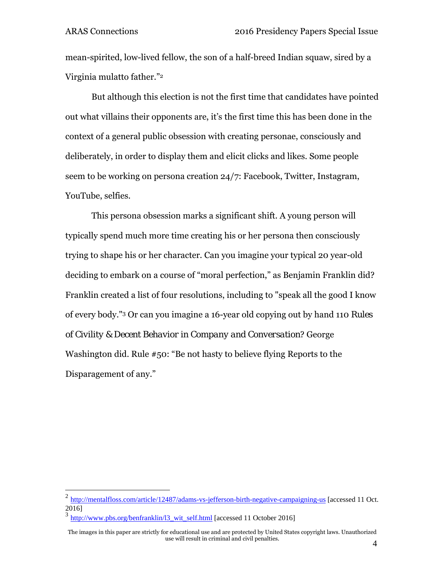mean-spirited, low-lived fellow, the son of a half-breed Indian squaw, sired by a Virginia mulatto father."2

But although this election is not the first time that candidates have pointed out what villains their opponents are, it's the first time this has been done in the context of a general public obsession with creating personae, consciously and deliberately, in order to display them and elicit clicks and likes. Some people seem to be working on persona creation 24/7: Facebook, Twitter, Instagram, YouTube, selfies.

This persona obsession marks a significant shift. A young person will typically spend much more time creating his or her persona then consciously trying to shape his or her character. Can you imagine your typical 20 year-old deciding to embark on a course of "moral perfection," as Benjamin Franklin did? Franklin created a list of four resolutions, including to "speak all the good I know of every body."3 Or can you imagine a 16-year old copying out by hand 110 *Rules of Civility & Decent Behavior in Company and Conversation*? George Washington did. Rule #50: "Be not hasty to believe flying Reports to the Disparagement of any."

1

 $^{2}$  http://mentalfloss.com/article/12487/adams-vs-jefferson-birth-negative-campaigning-us [accessed 11 Oct. 2016]

http://www.pbs.org/benfranklin/l3\_wit\_self.html [accessed 11 October 2016]

The images in this paper are strictly for educational use and are protected by United States copyright laws. Unauthorized use will result in criminal and civil penalties. 4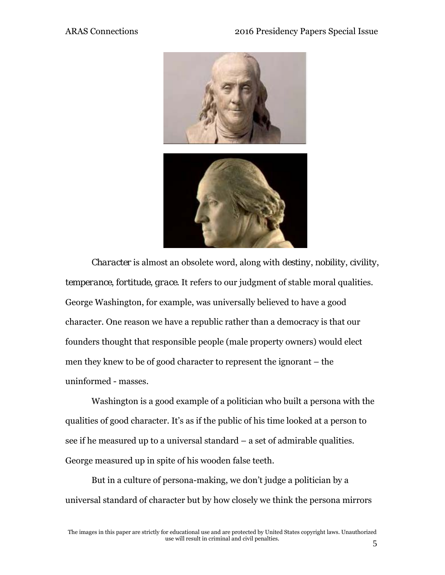

*Character* is almost an obsolete word, along with *destiny*, *nobility*, *civility*, *temperance*, *fortitude*, *grace*. It refers to our judgment of stable moral qualities. George Washington, for example, was universally believed to have a good character. One reason we have a republic rather than a democracy is that our founders thought that responsible people (male property owners) would elect men they knew to be of good character to represent the ignorant – the uninformed - masses.

Washington is a good example of a politician who built a persona with the qualities of good character. It's as if the public of his time looked at a person to see if he measured up to a universal standard – a set of admirable qualities. George measured up in spite of his wooden false teeth.

But in a culture of persona-making, we don't judge a politician by a universal standard of character but by how closely we think the persona mirrors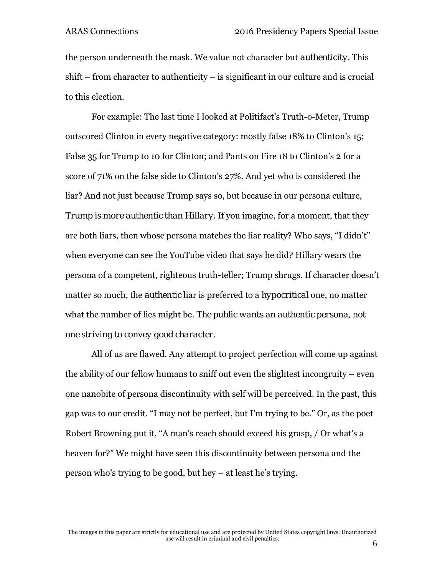the person underneath the mask. We value not character but *authenticity.* This shift – from character to authenticity – is significant in our culture and is crucial to this election.

For example: The last time I looked at Politifact's Truth-o-Meter, Trump outscored Clinton in every negative category: mostly false 18% to Clinton's 15; False 35 for Trump to 10 for Clinton; and Pants on Fire 18 to Clinton's 2 for a score of 71% on the false side to Clinton's 27%. And yet who is considered the liar? And not just because Trump says so, but because in our persona culture, *Trump is more authentic than Hillary*. If you imagine, for a moment, that they are both liars, then whose persona matches the liar reality? Who says, "I didn't" when everyone can see the YouTube video that says he did? Hillary wears the persona of a competent, righteous truth-teller; Trump shrugs. If character doesn't matter so much, the *authentic* liar is preferred to a *hypocritical* one, no matter what the number of lies might be. *The public wants an authentic persona, not one striving to convey good character.* 

All of us are flawed. Any attempt to project perfection will come up against the ability of our fellow humans to sniff out even the slightest incongruity – even one nanobite of persona discontinuity with self will be perceived. In the past, this gap was to our credit. "I may not be perfect, but I'm trying to be." Or, as the poet Robert Browning put it, "A man's reach should exceed his grasp, / Or what's a heaven for?" We might have seen this discontinuity between persona and the person who's trying to be good, but hey – at least he's trying.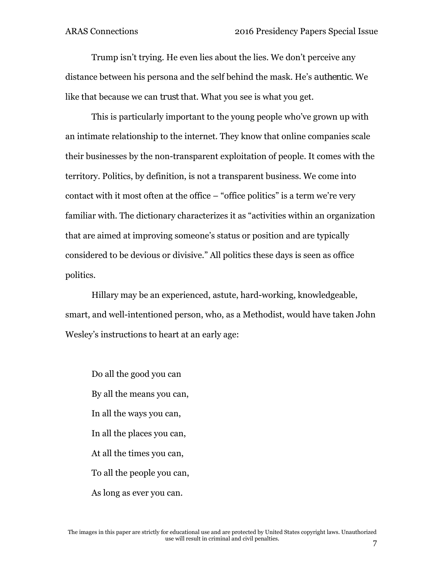Trump isn't trying. He even lies about the lies. We don't perceive any distance between his persona and the self behind the mask. He's *authentic.* We like that because we can *trust* that. What you see is what you get.

This is particularly important to the young people who've grown up with an intimate relationship to the internet. They know that online companies scale their businesses by the non-transparent exploitation of people. It comes with the territory. Politics, by definition, is not a transparent business. We come into contact with it most often at the office – "office politics" is a term we're very familiar with. The dictionary characterizes it as "activities within an organization that are aimed at improving someone's status or position and are typically considered to be devious or divisive." All politics these days is seen as office politics.

Hillary may be an experienced, astute, hard-working, knowledgeable, smart, and well-intentioned person, who, as a Methodist, would have taken John Wesley's instructions to heart at an early age:

Do all the good you can By all the means you can, In all the ways you can, In all the places you can, At all the times you can, To all the people you can, As long as ever you can.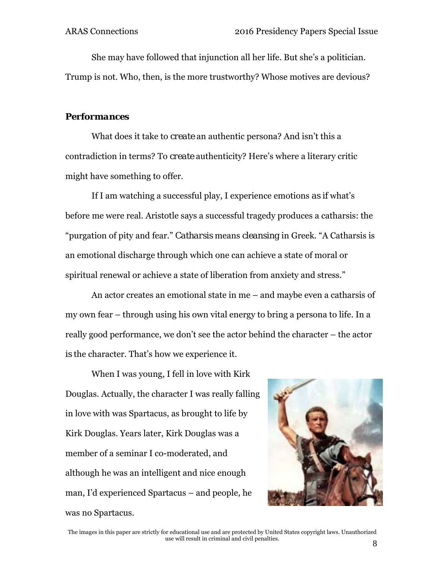She may have followed that injunction all her life. But she's a politician. Trump is not. Who, then, is the more trustworthy? Whose motives are devious?

## *Performances*

What does it take to *create* an authentic persona? And isn't this a contradiction in terms? To *create* authenticity? Here's where a literary critic might have something to offer.

If I am watching a successful play, I experience emotions *as if* what's before me were real. Aristotle says a successful tragedy produces a catharsis: the "purgation of pity and fear." *Catharsis* means *cleansing* in Greek. "A Catharsis is an emotional discharge through which one can achieve a state of moral or spiritual renewal or achieve a state of liberation from anxiety and stress."

An actor creates an emotional state in me – and maybe even a catharsis of my own fear – through using his own vital energy to bring a persona to life. In a really good performance, we don't see the actor behind the character – the actor *is* the character. That's how we experience it.

When I was young, I fell in love with Kirk Douglas. Actually, the character I was really falling in love with was Spartacus, as brought to life by Kirk Douglas. Years later, Kirk Douglas was a member of a seminar I co-moderated, and although he was an intelligent and nice enough man, I'd experienced Spartacus – and people, he was no Spartacus.



The images in this paper are strictly for educational use and are protected by United States copyright laws. Unauthorized use will result in criminal and civil penalties. 8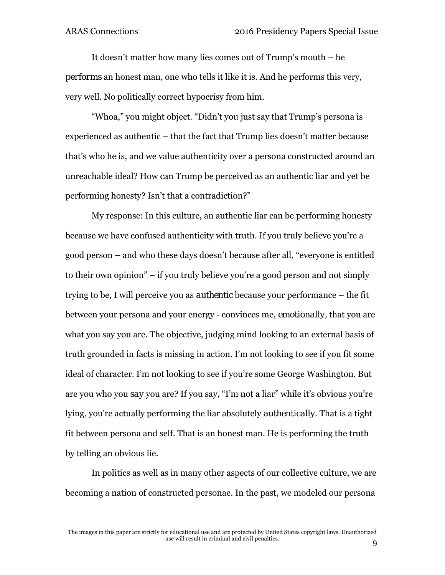It doesn't matter how many lies comes out of Trump's mouth – he *performs* an honest man, one who tells it like it is. And he performs this very, very well. No politically correct hypocrisy from him.

"Whoa," you might object. "Didn't you just say that Trump's persona is experienced as authentic – that the fact that Trump lies doesn't matter because that's who he is, and we value authenticity over a persona constructed around an unreachable ideal? How can Trump be perceived as an authentic liar and yet be performing honesty? Isn't that a contradiction?"

My response: In this culture, an authentic liar can be performing honesty because we have confused authenticity with truth. If you truly believe you're a good person – and who these days doesn't because after all, "everyone is entitled to their own opinion" – if you truly believe you're a good person and not simply trying to be, I will perceive you as *authentic* because your performance – the fit between your persona and your energy - convinces me, *emotionally,* that you are what you say you are. The objective, judging mind looking to an external basis of truth grounded in facts is missing in action. I'm not looking to see if you fit some ideal of character. I'm not looking to see if you're some George Washington. But are you who you *say* you are? If you say, "I'm not a liar" while it's obvious you're lying, you're actually performing the liar absolutely *authentically*. That is a tight fit between persona and self. That is an honest man. He is performing the truth by telling an obvious lie.

In politics as well as in many other aspects of our collective culture, we are becoming a nation of constructed personae. In the past, we modeled our persona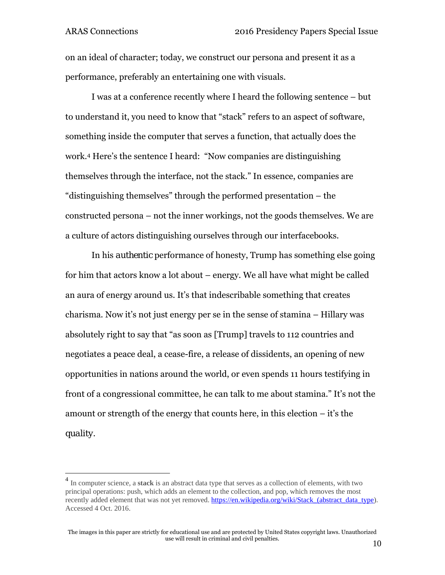$\overline{a}$ 

on an ideal of character; today, we construct our persona and present it as a performance, preferably an entertaining one with visuals.

I was at a conference recently where I heard the following sentence – but to understand it, you need to know that "stack" refers to an aspect of software, something inside the computer that serves a function, that actually does the work.4 Here's the sentence I heard: "Now companies are distinguishing themselves through the interface, not the stack." In essence, companies are "distinguishing themselves" through the performed presentation – the constructed persona – not the inner workings, not the goods themselves. We are a culture of actors distinguishing ourselves through our interfacebooks.

In his *authentic* performance of honesty, Trump has something else going for him that actors know a lot about – energy. We all have what might be called an aura of energy around us. It's that indescribable something that creates charisma. Now it's not just energy per se in the sense of stamina – Hillary was absolutely right to say that "as soon as [Trump] travels to 112 countries and negotiates a peace deal, a cease-fire, a release of dissidents, an opening of new opportunities in nations around the world, or even spends 11 hours testifying in front of a congressional committee, he can talk to me about stamina." It's not the amount or strength of the energy that counts here, in this election – it's the *quality*.

<sup>&</sup>lt;sup>4</sup> In computer science, a **stack** is an abstract data type that serves as a collection of elements, with two principal operations: push, which adds an element to the collection, and pop, which removes the most recently added element that was not yet removed. https://en.wikipedia.org/wiki/Stack\_(abstract\_data\_type). Accessed 4 Oct. 2016.

The images in this paper are strictly for educational use and are protected by United States copyright laws. Unauthorized use will result in criminal and civil penalties.  $10$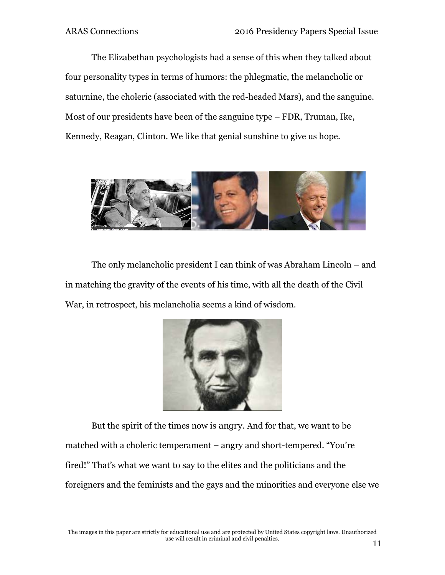The Elizabethan psychologists had a sense of this when they talked about four personality types in terms of humors: the phlegmatic, the melancholic or saturnine, the choleric (associated with the red-headed Mars), and the sanguine. Most of our presidents have been of the sanguine type – FDR, Truman, Ike, Kennedy, Reagan, Clinton. We like that genial sunshine to give us hope.



The only melancholic president I can think of was Abraham Lincoln – and in matching the gravity of the events of his time, with all the death of the Civil War, in retrospect, his melancholia seems a kind of wisdom.



But the spirit of the times now is *angry*. And for that, we want to be matched with a choleric temperament – angry and short-tempered. "You're fired!" That's what we want to say to the elites and the politicians and the foreigners and the feminists and the gays and the minorities and everyone else we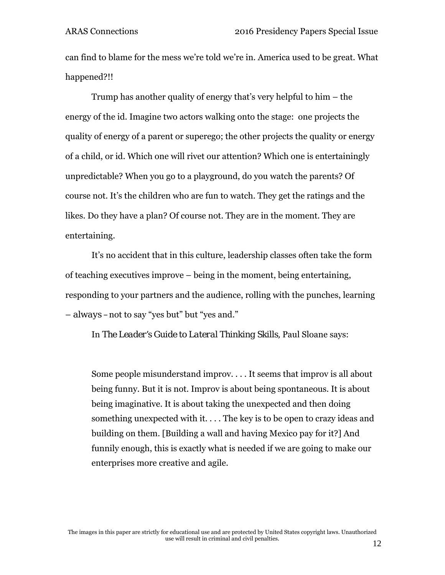can find to blame for the mess we're told we're in. America used to be great. What happened?!!

Trump has another quality of energy that's very helpful to him – the energy of the id. Imagine two actors walking onto the stage: one projects the quality of energy of a parent or superego; the other projects the quality or energy of a child, or id. Which one will rivet our attention? Which one is entertainingly unpredictable? When you go to a playground, do you watch the parents? Of course not. It's the children who are fun to watch. They get the ratings and the likes. Do they have a plan? Of course not. They are in the moment. They are entertaining.

It's no accident that in this culture, leadership classes often take the form of teaching executives improve – being in the moment, being entertaining, responding to your partners and the audience, rolling with the punches, learning – *always –*not to say "yes but" but "yes and."

In *The Leader's Guide to Lateral Thinking Skills,* Paul Sloane says:

Some people misunderstand improv. . . . It seems that improv is all about being funny. But it is not. Improv is about being spontaneous. It is about being imaginative. It is about taking the unexpected and then doing something unexpected with it. . . . The key is to be open to crazy ideas and building on them. [Building a wall and having Mexico pay for it?] And funnily enough, this is exactly what is needed if we are going to make our enterprises more creative and agile.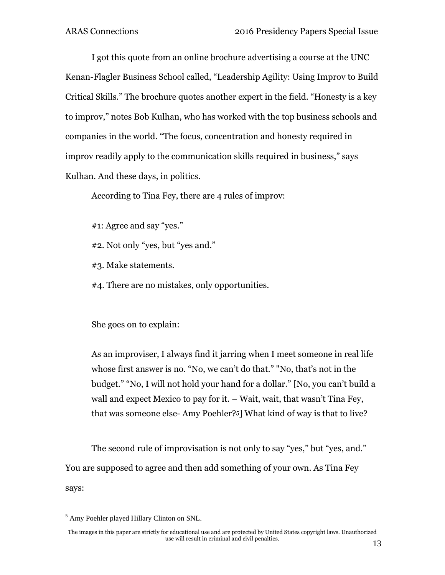I got this quote from an online brochure advertising a course at the UNC Kenan-Flagler Business School called, "Leadership Agility: Using Improv to Build Critical Skills." The brochure quotes another expert in the field. "Honesty is a key to improv," notes Bob Kulhan, who has worked with the top business schools and companies in the world. "The focus, concentration and honesty required in improv readily apply to the communication skills required in business," says Kulhan. And these days, in politics.

According to Tina Fey, there are 4 rules of improv:

#1: Agree and say "yes."

#2. Not only "yes, but "yes and."

#3. Make statements.

#4. There are no mistakes, only opportunities.

She goes on to explain:

As an improviser, I always find it jarring when I meet someone in real life whose first answer is no. "No, we can't do that." "No, that's not in the budget." "No, I will not hold your hand for a dollar." [No, you can't build a wall and expect Mexico to pay for it. – Wait, wait, that wasn't Tina Fey, that was someone else- Amy Poehler?5] What kind of way is that to live?

The second rule of improvisation is not only to say "yes," but "yes, and." You are supposed to agree and then add something of your own. As Tina Fey says:

 $\overline{a}$ <sup>5</sup> Amy Poehler played Hillary Clinton on SNL.

The images in this paper are strictly for educational use and are protected by United States copyright laws. Unauthorized use will result in criminal and civil penalties.  $13$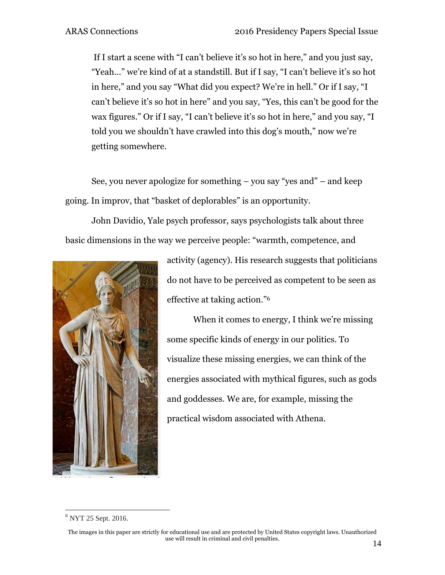If I start a scene with "I can't believe it's so hot in here," and you just say, "Yeah..." we're kind of at a standstill. But if I say, "I can't believe it's so hot in here," and you say "What did you expect? We're in hell." Or if I say, "I can't believe it's so hot in here" and you say, "Yes, this can't be good for the wax figures." Or if I say, "I can't believe it's so hot in here," and you say, "I told you we shouldn't have crawled into this dog's mouth," now we're getting somewhere.

See, you never apologize for something – you say "yes and" – and keep going. In improv, that "basket of deplorables" is an opportunity.

John Davidio, Yale psych professor, says psychologists talk about three basic dimensions in the way we perceive people: "warmth, competence, and



activity (agency). His research suggests that politicians do not have to be perceived as competent to be seen as effective at taking action."6

When it comes to energy, I think we're missing some specific kinds of energy in our politics. To visualize these missing energies, we can think of the energies associated with mythical figures, such as gods and goddesses. We are, for example, missing the practical wisdom associated with Athena.

 $\overline{a}$ <sup>6</sup> NYT 25 Sept. 2016.

The images in this paper are strictly for educational use and are protected by United States copyright laws. Unauthorized use will result in criminal and civil penalties.  $14$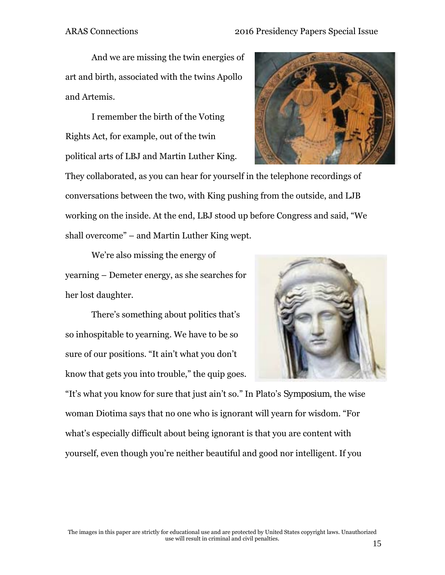And we are missing the twin energies of art and birth, associated with the twins Apollo and Artemis.

I remember the birth of the Voting Rights Act, for example, out of the twin political arts of LBJ and Martin Luther King.



They collaborated, as you can hear for yourself in the telephone recordings of conversations between the two, with King pushing from the outside, and LJB working on the inside. At the end, LBJ stood up before Congress and said, "We shall overcome" – and Martin Luther King wept.

We're also missing the energy of yearning – Demeter energy, as she searches for her lost daughter.

There's something about politics that's so inhospitable to yearning. We have to be so sure of our positions. "It ain't what you don't know that gets you into trouble," the quip goes.



"It's what you know for sure that just ain't so." In Plato's *Symposium*, the wise woman Diotima says that no one who is ignorant will yearn for wisdom. "For what's especially difficult about being ignorant is that you are content with yourself, even though you're neither beautiful and good nor intelligent. If you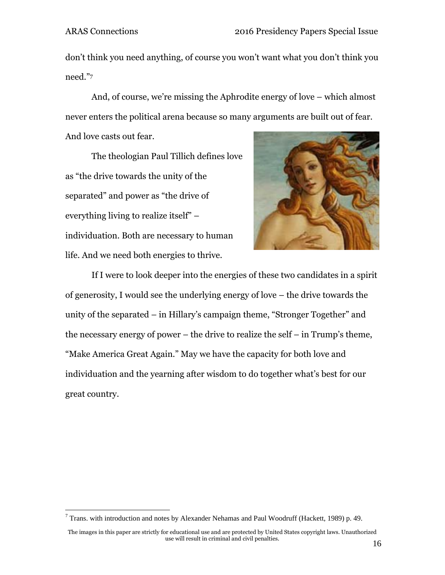<u>.</u>

don't think you need anything, of course you won't want what you don't think you need."7

And, of course, we're missing the Aphrodite energy of love – which almost never enters the political arena because so many arguments are built out of fear. And love casts out fear.

The theologian Paul Tillich defines love as "the drive towards the unity of the separated" and power as "the drive of everything living to realize itself" – individuation. Both are necessary to human life. And we need both energies to thrive.



If I were to look deeper into the energies of these two candidates in a spirit of generosity, I would see the underlying energy of love – the drive towards the unity of the separated – in Hillary's campaign theme, "Stronger Together" and the necessary energy of power – the drive to realize the self – in Trump's theme, "Make America Great Again." May we have the capacity for both love and individuation and the yearning after wisdom to do together what's best for our great country.

<sup>&</sup>lt;sup>7</sup> Trans. with introduction and notes by Alexander Nehamas and Paul Woodruff (Hackett, 1989) p. 49.

The images in this paper are strictly for educational use and are protected by United States copyright laws. Unauthorized use will result in criminal and civil penalties.  $16$